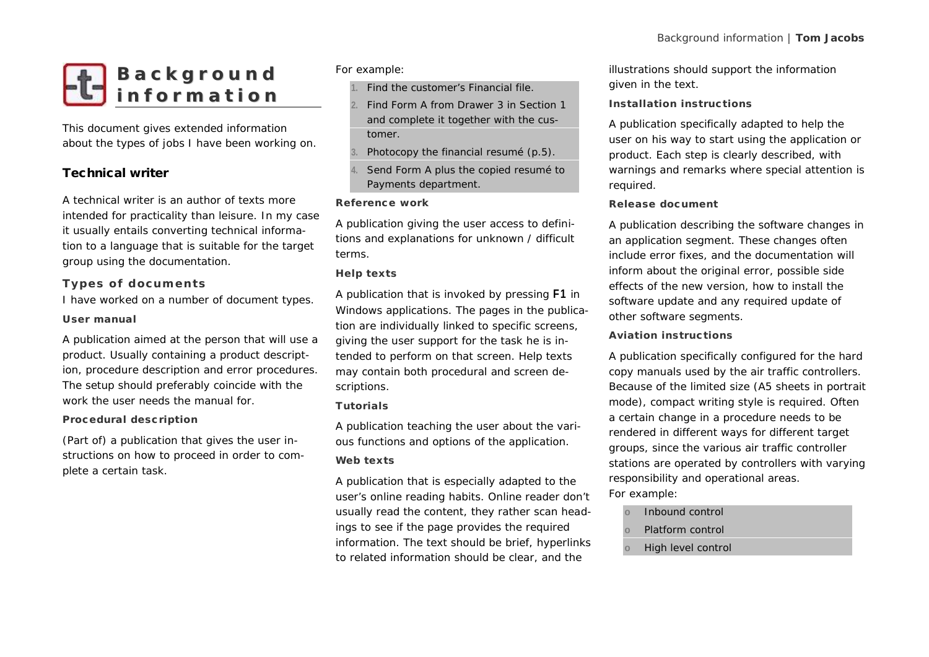

This document gives extended information about the types of jobs I have been working on.

# **Technical writer**

A technical writer is an author of texts more intended for practicality than leisure. In my case it usually entails converting technical information to a language that is suitable for the target group using the documentation. intended for practicality than leisure<br>it usually entails converting technica<br>tion to a language that is suitable fo<br>group using the documentation.<br>Types of documents<br>I have worked on a number of docu

I have worked on a number of document types. **User manual**

A publication aimed at the person that will use a product. Usually containing a product description, procedure description and error procedures. The setup should preferably coincide with the work the user needs the manual for

# **Procedural description**

(Part of) a publication that gives the user instructions on how to proceed in order to complete a certain task.

*For example:*

- **1.** Find the customer's Financial file.
- **2.** Find Form A from Drawer 3 in Section 1 and complete it together with the customer.
- **3.** Photocopy the financial resumé (p.5).
- **4.** Send Form A plus the copied resumé to Payments department.

# **Reference work**

A publication giving the user access to definitions and explanations for unknown / difficult terms.

# **Help texts**

A publication that is invoked by pressing **F1** in Windows applications. The pages in the publication are individually linked to specific screens, giving the user support for the task he is intended to perform on that screen. Help texts may contain both procedural and screen descriptions.

# **Tutorials**

A publication teaching the user about the various functions and options of the application. **Web texts**

A publication that is especially adapted to the user's online reading habits. Online reader don't usually read the content, they rather scan headings to see if the page provides the required information. The text should be brief, *hyperlinks* to related information should be clear, and the

illustrations should support the information given in the text.

# **Installation instructions**

A publication specifically adapted to help the user on his way to start using the application or product. Each step is clearly described, with warnings and remarks where special attention is required.

# **Release document**

A publication describing the software changes in an application segment. These changes often include error fixes, and the documentation will inform about the original error, possible side effects of the new version, how to install the software update and any required update of other software segments.

# **Aviation instructions**

A publication specifically configured for the hard copy manuals used by the air traffic controllers. Because of the limited size (A5 sheets in portrait mode), compact writing style is required. Often a certain change in a procedure needs to be rendered in different ways for different target groups, since the various air traffic controller stations are operated by controllers with varying responsibility and operational areas.

# *For example:*

- **o** Inbound control
- **o** Platform control
- **o** High level control